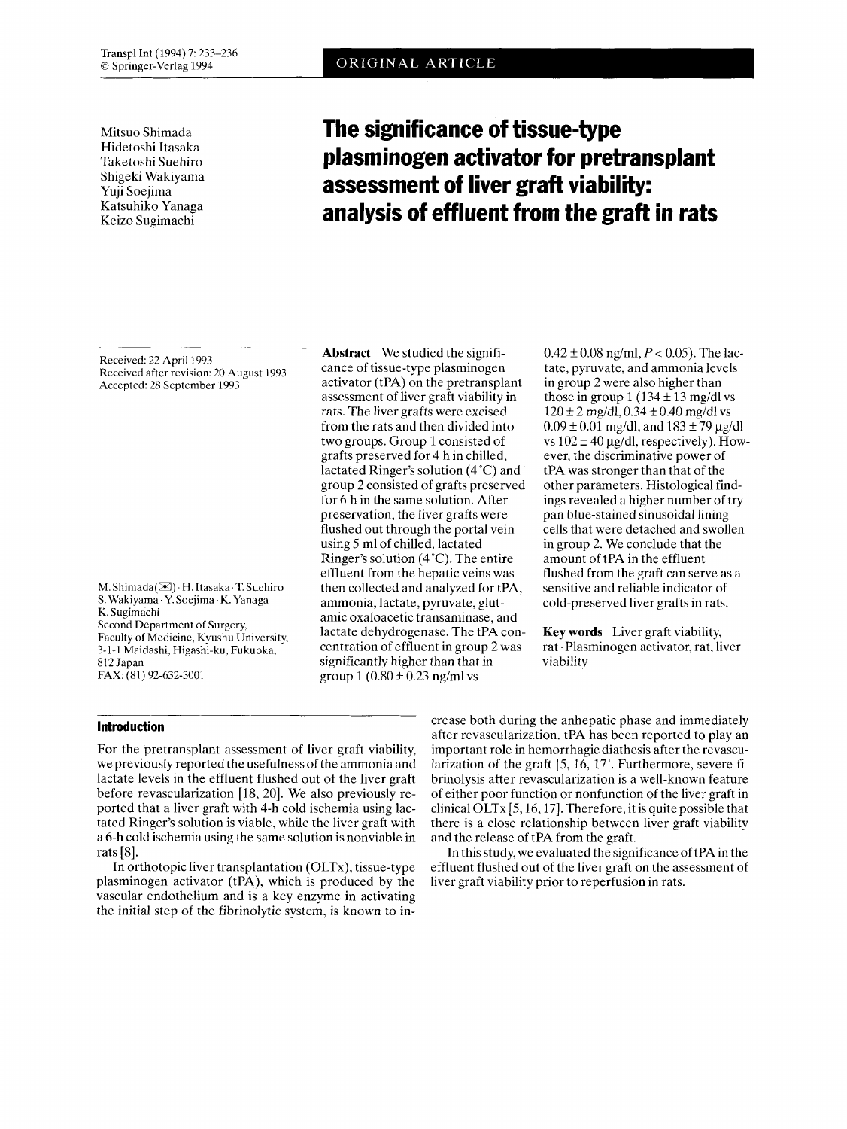Transpl Int (1994) 7: 233-236 © Springer-Verlag 1994

Mitsuo Shimada Hidetoshi Itasaka Taketoshi Suehiro Shigeki Wakiyama Yuji Soejima Katsuhiko Yanaga Keizo Sugimachi

# **The significance of tissue-type plasminogen activator for pretransplant assessment of liver graft viability: analysis of effluent from the graft in rats**

Received: 22 April 1993 Received after revision: 20 August 1993 Accepted: 28 September 1993

M.Shimada(B) .H.Itasaka.T.Suehiro S. **Wakiyama.Y.Soejima.K.Yanaga**  K. Sugimaehi Second Department of Surgery, Faculty of Medicine, Kyushu University, 3-1-1 Maidashi, Higashi-ku, Fukuoka, 812 Japan FAX: (81) 92-632-3001

**Abstract** We studied the significance of tissue-type plasminogen activator (tPA) on the pretransplant assessment of liver graft viability in rats. The liver grafts were excised from the rats and then divided into two groups. Group 1 consisted of grafts preserved for 4 h in chilled, lactated Ringer's solution (4°C) and group 2 consisted of grafts preserved for 6 h in the same solution. After preservation, the liver grafts were flushed out through the portal vein using *5* ml of chilled, lactated Ringer's solution (4°C). The entire effluent from the hepatic veins was then collected and analyzed for tPA, ammonia, lactate, pyruvate, glutamic oxaloacetic transaminase, and lactate dehydrogenase. The tPA concentration of effluent in group 2 was significantly higher than that in group  $1 (0.80 \pm 0.23$  ng/ml vs

 $0.42 \pm 0.08$  ng/ml,  $P < 0.05$ ). The lactate, pyruvate, and ammonia levels in group 2 were also higher than those in group 1 (134  $\pm$  13 mg/dl vs  $120 \pm 2$  mg/dl,  $0.34 \pm 0.40$  mg/dl vs  $0.09 \pm 0.01$  mg/dl, and  $183 \pm 79$  µg/dl vs  $102 \pm 40$  µg/dl, respectively). However, the discriminative power of tPA was stronger than that of the other parameters. Histological findings revealed a higher number of trypan blue-stained sinusoidal lining cells that were detached and swollen in group 2. We conclude that the amount of tPA in the effluent flushed from the graft can serve as a sensitive and reliable indicator of cold-preserved liver grafts in rats.

**Key words** Liver graft viability, rat 'Plasminogen activator, rat, liver viability

## **Introduction**

For the pretransplant assessment of liver graft viability, we previously reported the usefulness of the ammonia and lactate levels in the effluent flushed out of the liver graft before revascularization [18, 20]. We also previously reported that a liver graft with 4-h cold ischemia using lactated Ringer's solution is viable, while the liver graft with a 6-h cold ischemia using the same solution is nonviable in rats [S].

In orthotopic liver transplantation (OLTx), tissue-type plasminogen activator (tPA), which is produced by the vascular endothelium and is a key enzyme in activating the initial step of the fibrinolytic system, is known to increase both during the anhepatic phase and immediately after revascularization. tPA has been reported to play an important role in hemorrhagic diathesis after the revascularization of the graft [5, 16, 17]. Furthermore, severe fibrinolysis after revascularization is a well-known feature of either poor function or nonfunction of the liver graft in clinical OLTx  $[5, 16, 17]$ . Therefore, it is quite possible that there is a close relationship between liver graft viability and the release of tPA from the graft.

In this study, we evaluated the significance of tPA in the effluent flushed out of the liver graft on the assessment of liver graft viability prior to reperfusion in rats.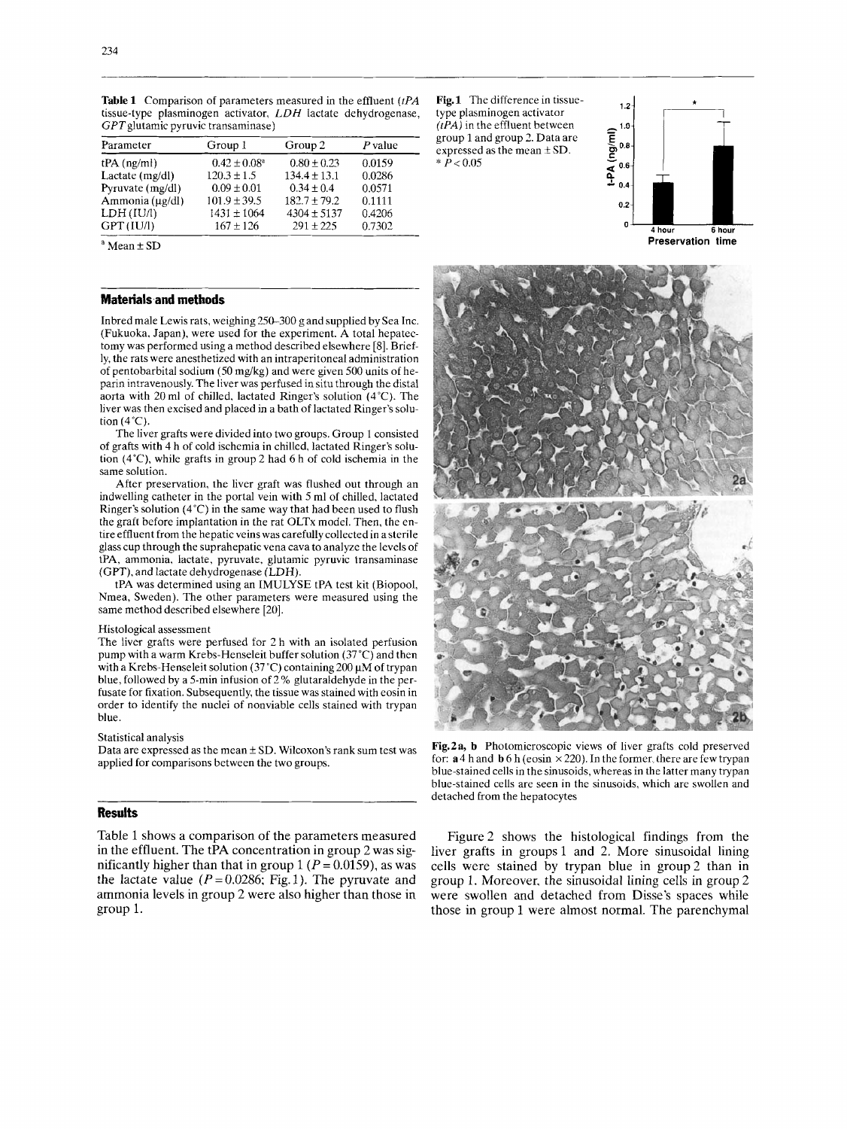| Parameter        | Group 1                 | Group 2          | P value |
|------------------|-------------------------|------------------|---------|
| $tPA$ (ng/ml)    | $0.42 \pm 0.08^{\circ}$ | $0.80 \pm 0.23$  | 0.0159  |
| Lactate (mg/dl)  | $120.3 \pm 1.5$         | $134.4 \pm 13.1$ | 0.0286  |
| Pyruvate (mg/dl) | $0.09 \pm 0.01$         | $0.34 + 0.4$     | 0.0571  |
| Ammonia (µg/dl)  | $101.9 \pm 39.5$        | $182.7 + 79.2$   | 0.1111  |
| LDH (IU/l)       | $1431 \pm 1064$         | $4304 \pm 5137$  | 0.4206  |
| GPT (IU/l)       | $167 \pm 126$           | $291 \pm 225$    | 0.7302  |

**Table 1** Comparison of parameters measured in the effluent *(tPA*  tissue-type plasminogen activator, *LDH* lactate dehydrogenase,  $GPT$ glutamic pyruvic transaminase)

 $a$  Mean  $\pm$  SD

## **Materials and methods**

Inbred male Lewis rats, weighing 150-300 g and supplied by Sea Inc. (Fukuoka, Japan), were used for the experiment. A total hepatectomy was performed using a method described elsewhere *[8].* Briefly, the rats were anesthetized with an intraperitoneal administration of pentobarbital sodium (50 mg/kg) and were given 500 units of heparin intravenously. The liver was perfused in situ through the distal aorta with 20 ml of chilled, lactated Ringer's solution  $(4^{\circ}C)$ . The liver was then excised and placed in a bath of lactated Ringer's solution  $(4^{\circ}C)$ .

The liver grafts were divided into two groups. Group 1 consisted of grafts with 4 h of cold ischemia in chilled, lactated Ringer's solution (4"C), while grafts in group 2 had 6 h of cold ischemia in the same solution.

After preservation, the liver graft was flushed out through an indwelling catheter in the portal vein with 5 ml of chilled, lactated Ringer's solution (4°C) in the same way that had been used to flush the graft before implantation in the rat OLTx model. Then, the entire effluent from the hepatic veins was carefully collected in a sterile glass cup through the suprahepatic vena cava to analyze the levels of tPA, ammonia, lactate, pyruvate, glutamic pyruvic transaminase (GPT), and lactate dehydrogenase (LDH).

tPA was determined using an IMULYSE tPA test kit (Biopool, Nmea, Sweden). The other parameters were measured using the same method described elsewhere [20].

#### Histological assessment

The liver grafts were perfused for 2 h with an isolated perfusion pump with a warm Krebs-Henseleit buffer solution (37°C) and then with a Krebs-Henseleit solution (37 °C) containing 200  $\mu$ M of trypan blue, followed by a 5-min infusion of 2 % glutaraldehyde in the perfusate for fixation. Subsequently, the tissue was stained with eosin in order to identify the nuclei of nonviable cells stained with trypan blue.

#### Statistical analysis

Data are expressed as the mean  $\pm$  SD. Wilcoxon's rank sum test was applied for comparisons between the two groups.

## **Results**

Table 1 shows a comparison of the parameters measured in the effluent. The tPA concentration in group 2 was significantly higher than that in group  $1 (P = 0.0159)$ , as was the lactate value  $(P = 0.0286; Fig. 1)$ . The pyruvate and ammonia levels in group 2 were also higher than those in group 1.

**Fig.1** The difference in tissuetype plasminogen activator *(PA)* in the effluent between group 1 and group 2. Data are expressed as the mean  $\pm$  SD.  $* \dot{P} < 0.05$ 



 $\overline{APA}$ 

**Preservation time** 



**Fig.2a, b** Photomicroscopic views of liver grafts cold preserved for:  $\mathbf{a}$  4 h and  $\mathbf{b}$  6 h (eosin  $\times$  220). In the former, there are few trypan blue-stained cells in the sinusoids, whereas in the latter many trypan blue-stained cells are seen in the sinusoids, which are swollen and detached from the hepatocytes

Figure 2 shows the histological findings from the liver grafts in groups 1 and 2. More sinusoidal lining cells were stained by trypan blue in group2 than in group 1. Moreover, the sinusoidal lining cells in group 2 were swollen and detached from Disse's spaces while those in group 1 were almost normal. The parenchymal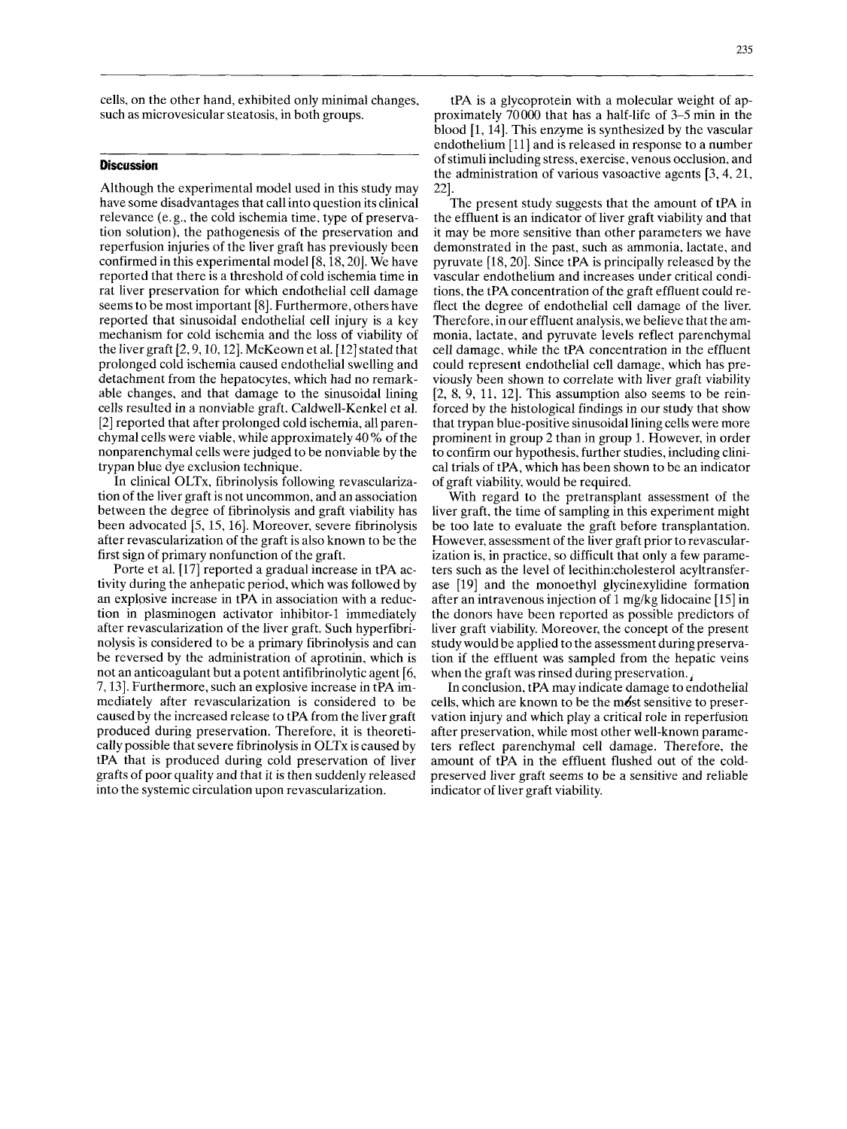cells, on the other hand, exhibited only minimal changes, such as microvesicular steatosis, in both groups.

## **Discussion**

Although the experimental model used in this study may have some disadvantages that call into question its clinical relevance (e. g., the cold ischemia time, type of preservation solution), the pathogenesis of the preservation and reperfusion injuries of the liver graft has previously been confirmed in this experimental model [8,18,20]. We have reported that there is a threshold of cold ischemia time in rat liver preservation for which endothelial cell damage seems to be most important [8]. Furthermore, others have reported that sinusoidal endothelial cell injury is a key mechanism for cold ischemia and the loss of viability of the liver graft [2,9,10,12]. McKeown et al. [12] stated that prolonged cold ischemia caused endothelial swelling and detachment from the hepatocytes, which had no remarkable changes, and that damage to the sinusoidal lining cells resulted in a nonviable graft. Caldwell-Kenkel et al. [2] reported that after prolonged cold ischemia, all parenchymal cells were viable, while approximately 40 % of the nonparenchymal cells were judged to be nonviable by the trypan blue dye exclusion technique.

In clinical OLTx, fibrinolysis following revascularization of the liver graft is not uncommon, and an association between the degree of fibrinolysis and graft viability has been advocated [5, 15, 16]. Moreover, severe fibrinolysis after revascularization of the graft is also known to be the first sign of primary nonfunction of the graft.

Porte et al. [17] reported a gradual increase in tPA activity during the anhepatic period, which was followed by an explosive increase in tPA in association with a reduction in plasminogen activator inhibitor-1 immediately after revascularization of the liver graft. Such hyperfibrinolysis is considered to be a primary fibrinolysis and can be reversed by the administration of aprotinin, which is not an anticoagulant but a potent antifibrinolytic agent [6, 7,131. Furthermore, such an explosive increase in tPA immediately after revascularization is considered to be caused by the increased release to tPA from the liver graft produced during preservation. Therefore, it is theoretically possible that severe fibrinolysis in OLTx is caused by tPA that is produced during cold preservation of liver grafts of poor quality and that it is then suddenly released into the systemic circulation upon revascularization.

The present study suggests that the amount of tPA in the effluent is an indicator of liver graft viability and that it may be more sensitive than other parameters we have demonstrated in the past, such as ammonia, lactate, and pyruvate 118,201. Since tPA is principally released by the vascular endothelium and increases under critical conditions, the tPA concentration of the graft effluent could reflect the degree of endothelial cell damage of the liver. Therefore, in our effluent analysis, we believe that the ammonia, lactate, and pyruvate levels reflect parenchymal cell damage, while the tPA concentration in the effluent could represent endothelial cell damage, which has previously been shown to correlate with liver graft viability  $[2, 8, 9, 11, 12]$ . This assumption also seems to be reinforced by the histological findings in our study that show that trypan blue-positive sinusoidal lining cells were more prominent in group 2 than in group 1. However, in order to confirm our hypothesis, further studies, including clinical trials of tPA, which has been shown to be an indicator of graft viability, would be required. 22].

With regard to the pretransplant assessment of the liver graft, the time of sampling in this experiment might be too late to evaluate the graft before transplantation. However, assessment of the liver graft prior to revascularization is, in practice, so difficult that only a few parameters such as the level of lecithin:cholesterol acyltransferase [19] and the monoethyl glycinexylidine formation after an intravenous injection of 1 mg/kg lidocaine [lS] in the donors have been reported as possible predictors of liver graft viability. Moreover, the concept of the present study would be applied to the assessment during preservation if the effluent was sampled from the hepatic veins when the graft was rinsed during preservation.

In conclusion, tPA may indicate damage to endothelial cells, which are known to be the mdst sensitive to preservation injury and which play a critical role in reperfusion after preservation, while most other well-known parameters reflect parenchymal cell damage. Therefore, the amount of tPA in the effluent flushed out of the coldpreserved liver graft seems to be a sensitive and reliable indicator of liver graft viability.